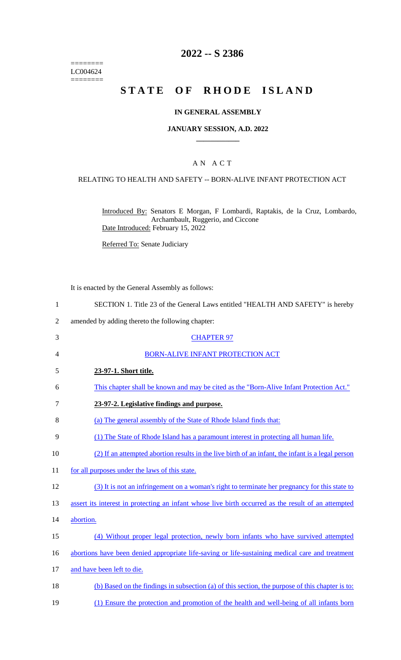======== LC004624  $=$ 

# **2022 -- S 2386**

# **STATE OF RHODE ISLAND**

#### **IN GENERAL ASSEMBLY**

#### **JANUARY SESSION, A.D. 2022 \_\_\_\_\_\_\_\_\_\_\_\_**

## A N A C T

#### RELATING TO HEALTH AND SAFETY -- BORN-ALIVE INFANT PROTECTION ACT

Introduced By: Senators E Morgan, F Lombardi, Raptakis, de la Cruz, Lombardo, Archambault, Ruggerio, and Ciccone Date Introduced: February 15, 2022

Referred To: Senate Judiciary

It is enacted by the General Assembly as follows:

|  |  | SECTION 1. Title 23 of the General Laws entitled "HEALTH AND SAFETY" is hereby |  |
|--|--|--------------------------------------------------------------------------------|--|
|  |  |                                                                                |  |

2 amended by adding thereto the following chapter:

| 3              | <b>CHAPTER 97</b>                                                                                   |  |  |  |  |
|----------------|-----------------------------------------------------------------------------------------------------|--|--|--|--|
| 4              | <b>BORN-ALIVE INFANT PROTECTION ACT</b>                                                             |  |  |  |  |
| 5              | 23-97-1. Short title.                                                                               |  |  |  |  |
| 6              | This chapter shall be known and may be cited as the "Born-Alive Infant Protection Act."             |  |  |  |  |
| 7              | 23-97-2. Legislative findings and purpose.                                                          |  |  |  |  |
| 8              | (a) The general assembly of the State of Rhode Island finds that:                                   |  |  |  |  |
| 9              | (1) The State of Rhode Island has a paramount interest in protecting all human life.                |  |  |  |  |
| 10             | (2) If an attempted abortion results in the live birth of an infant, the infant is a legal person   |  |  |  |  |
| 11             | for all purposes under the laws of this state.                                                      |  |  |  |  |
| 12             | (3) It is not an infringement on a woman's right to terminate her pregnancy for this state to       |  |  |  |  |
| 13             | assert its interest in protecting an infant whose live birth occurred as the result of an attempted |  |  |  |  |
| 14             | abortion.                                                                                           |  |  |  |  |
| 15             | (4) Without proper legal protection, newly born infants who have survived attempted                 |  |  |  |  |
| 16             | abortions have been denied appropriate life-saving or life-sustaining medical care and treatment    |  |  |  |  |
| 17             | and have been left to die.                                                                          |  |  |  |  |
| 18             | (b) Based on the findings in subsection (a) of this section, the purpose of this chapter is to:     |  |  |  |  |
| 1 <sub>0</sub> | $(1)$ Enguna the nucleotion and nuomotion of the health and wall heing of all infants hour          |  |  |  |  |

19 (1) Ensure the protection and promotion of the health and well-being of all infants born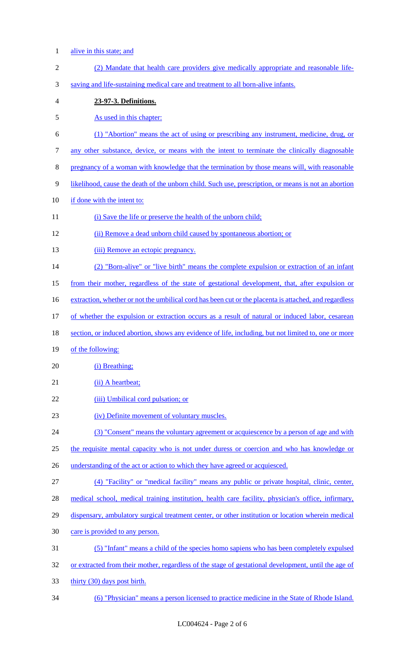- alive in this state; and
- (2) Mandate that health care providers give medically appropriate and reasonable life- saving and life-sustaining medical care and treatment to all born-alive infants. **23-97-3. Definitions.**  As used in this chapter: (1) "Abortion" means the act of using or prescribing any instrument, medicine, drug, or any other substance, device, or means with the intent to terminate the clinically diagnosable pregnancy of a woman with knowledge that the termination by those means will, with reasonable likelihood, cause the death of the unborn child. Such use, prescription, or means is not an abortion if done with the intent to: 11 (i) Save the life or preserve the health of the unborn child; (ii) Remove a dead unborn child caused by spontaneous abortion; or 13 (iii) Remove an ectopic pregnancy. (2) "Born-alive" or "live birth" means the complete expulsion or extraction of an infant from their mother, regardless of the state of gestational development, that, after expulsion or 16 extraction, whether or not the umbilical cord has been cut or the placenta is attached, and regardless of whether the expulsion or extraction occurs as a result of natural or induced labor, cesarean section, or induced abortion, shows any evidence of life, including, but not limited to, one or more of the following: 20 (i) Breathing; 21 (ii) A heartbeat; 22 (iii) Umbilical cord pulsation; or (iv) Definite movement of voluntary muscles. (3) "Consent" means the voluntary agreement or acquiescence by a person of age and with 25 the requisite mental capacity who is not under duress or coercion and who has knowledge or 26 understanding of the act or action to which they have agreed or acquiesced. (4) "Facility" or "medical facility" means any public or private hospital, clinic, center, medical school, medical training institution, health care facility, physician's office, infirmary, 29 dispensary, ambulatory surgical treatment center, or other institution or location wherein medical care is provided to any person. (5) "Infant" means a child of the species homo sapiens who has been completely expulsed 32 or extracted from their mother, regardless of the stage of gestational development, until the age of thirty (30) days post birth.
- (6) "Physician" means a person licensed to practice medicine in the State of Rhode Island.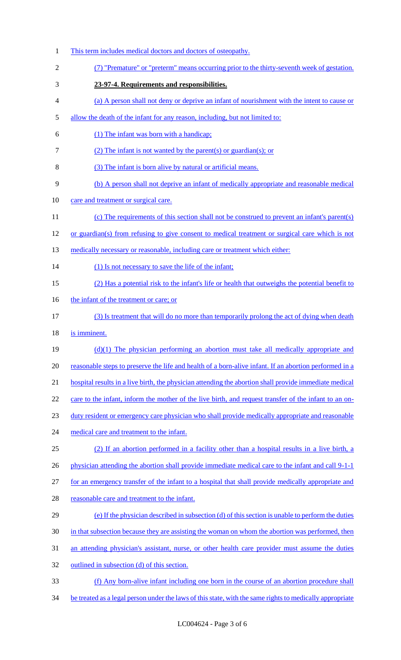This term includes medical doctors and doctors of osteopathy. (7) "Premature" or "preterm" means occurring prior to the thirty-seventh week of gestation. **23-97-4. Requirements and responsibilities.**  (a) A person shall not deny or deprive an infant of nourishment with the intent to cause or allow the death of the infant for any reason, including, but not limited to: (1) The infant was born with a handicap; (2) The infant is not wanted by the parent(s) or guardian(s); or (3) The infant is born alive by natural or artificial means. (b) A person shall not deprive an infant of medically appropriate and reasonable medical care and treatment or surgical care. (c) The requirements of this section shall not be construed to prevent an infant's parent(s) or guardian(s) from refusing to give consent to medical treatment or surgical care which is not 13 medically necessary or reasonable, including care or treatment which either: 14 (1) Is not necessary to save the life of the infant; (2) Has a potential risk to the infant's life or health that outweighs the potential benefit to 16 the infant of the treatment or care; or (3) Is treatment that will do no more than temporarily prolong the act of dying when death is imminent. (d)(1) The physician performing an abortion must take all medically appropriate and reasonable steps to preserve the life and health of a born-alive infant. If an abortion performed in a hospital results in a live birth, the physician attending the abortion shall provide immediate medical 22 care to the infant, inform the mother of the live birth, and request transfer of the infant to an on- duty resident or emergency care physician who shall provide medically appropriate and reasonable 24 medical care and treatment to the infant. (2) If an abortion performed in a facility other than a hospital results in a live birth, a 26 physician attending the abortion shall provide immediate medical care to the infant and call 9-1-1 27 for an emergency transfer of the infant to a hospital that shall provide medically appropriate and reasonable care and treatment to the infant. (e) If the physician described in subsection (d) of this section is unable to perform the duties 30 in that subsection because they are assisting the woman on whom the abortion was performed, then an attending physician's assistant, nurse, or other health care provider must assume the duties outlined in subsection (d) of this section. (f) Any born-alive infant including one born in the course of an abortion procedure shall 34 be treated as a legal person under the laws of this state, with the same rights to medically appropriate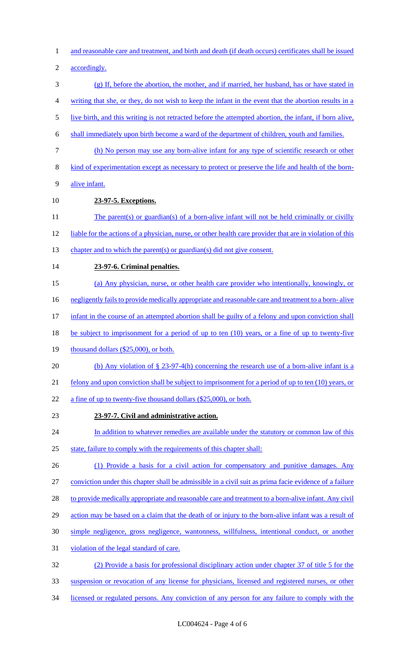1 and reasonable care and treatment, and birth and death (if death occurs) certificates shall be issued

2 accordingly.

- 3 (g) If, before the abortion, the mother, and if married, her husband, has or have stated in 4 writing that she, or they, do not wish to keep the infant in the event that the abortion results in a
- 5 live birth, and this writing is not retracted before the attempted abortion, the infant, if born alive,
- 6 shall immediately upon birth become a ward of the department of children, youth and families.
- 7 (h) No person may use any born-alive infant for any type of scientific research or other
- 8 kind of experimentation except as necessary to protect or preserve the life and health of the born-
- 9 alive infant.
- 10 **23-97-5. Exceptions.**
- 11 The parent(s) or guardian(s) of a born-alive infant will not be held criminally or civilly
- 12 liable for the actions of a physician, nurse, or other health care provider that are in violation of this
- 13 chapter and to which the parent(s) or guardian(s) did not give consent.
- 14 **23-97-6. Criminal penalties.**
- 15 (a) Any physician, nurse, or other health care provider who intentionally, knowingly, or
- 16 negligently fails to provide medically appropriate and reasonable care and treatment to a born- alive
- 17 infant in the course of an attempted abortion shall be guilty of a felony and upon conviction shall
- 18 be subject to imprisonment for a period of up to ten (10) years, or a fine of up to twenty-five
- 19 thousand dollars (\$25,000), or both.
- 20 (b) Any violation of § 23-97-4(h) concerning the research use of a born-alive infant is a
- 21 felony and upon conviction shall be subject to imprisonment for a period of up to ten (10) years, or
- 22 a fine of up to twenty-five thousand dollars (\$25,000), or both.
- 23 **23-97-7. Civil and administrative action.**
- 24 In addition to whatever remedies are available under the statutory or common law of this 25 state, failure to comply with the requirements of this chapter shall:
- 26 (1) Provide a basis for a civil action for compensatory and punitive damages. Any
- 27 conviction under this chapter shall be admissible in a civil suit as prima facie evidence of a failure
- 28 to provide medically appropriate and reasonable care and treatment to a born-alive infant. Any civil
- 29 action may be based on a claim that the death of or injury to the born-alive infant was a result of
- 30 simple negligence, gross negligence, wantonness, willfulness, intentional conduct, or another
- 31 violation of the legal standard of care.
- 32 (2) Provide a basis for professional disciplinary action under chapter 37 of title 5 for the
- 33 suspension or revocation of any license for physicians, licensed and registered nurses, or other
- 34 licensed or regulated persons. Any conviction of any person for any failure to comply with the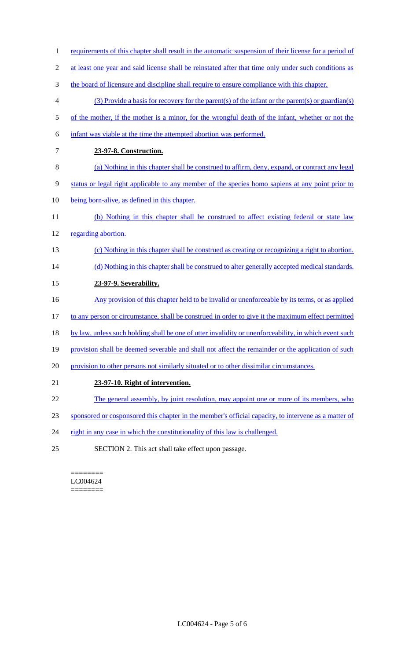- 1 requirements of this chapter shall result in the automatic suspension of their license for a period of
- 2 at least one year and said license shall be reinstated after that time only under such conditions as
- 3 the board of licensure and discipline shall require to ensure compliance with this chapter.
- 4 (3) Provide a basis for recovery for the parent(s) of the infant or the parent(s) or guardian(s)
- 5 of the mother, if the mother is a minor, for the wrongful death of the infant, whether or not the
- 6 infant was viable at the time the attempted abortion was performed.
- 7 **23-97-8. Construction.**
- 8 (a) Nothing in this chapter shall be construed to affirm, deny, expand, or contract any legal
- 9 status or legal right applicable to any member of the species homo sapiens at any point prior to
- 10 being born-alive, as defined in this chapter.
- 11 (b) Nothing in this chapter shall be construed to affect existing federal or state law 12 regarding abortion.
- 13 (c) Nothing in this chapter shall be construed as creating or recognizing a right to abortion.
- 14 (d) Nothing in this chapter shall be construed to alter generally accepted medical standards.
- 15 **23-97-9. Severability.**
- 16 Any provision of this chapter held to be invalid or unenforceable by its terms, or as applied
- 17 to any person or circumstance, shall be construed in order to give it the maximum effect permitted
- 18 by law, unless such holding shall be one of utter invalidity or unenforceability, in which event such
- 19 provision shall be deemed severable and shall not affect the remainder or the application of such
- 20 provision to other persons not similarly situated or to other dissimilar circumstances.
- 21 **23-97-10. Right of intervention.**
- 22 The general assembly, by joint resolution, may appoint one or more of its members, who
- 23 sponsored or cosponsored this chapter in the member's official capacity, to intervene as a matter of
- 24 right in any case in which the constitutionality of this law is challenged.
- 25 SECTION 2. This act shall take effect upon passage.

======== LC004624 ========